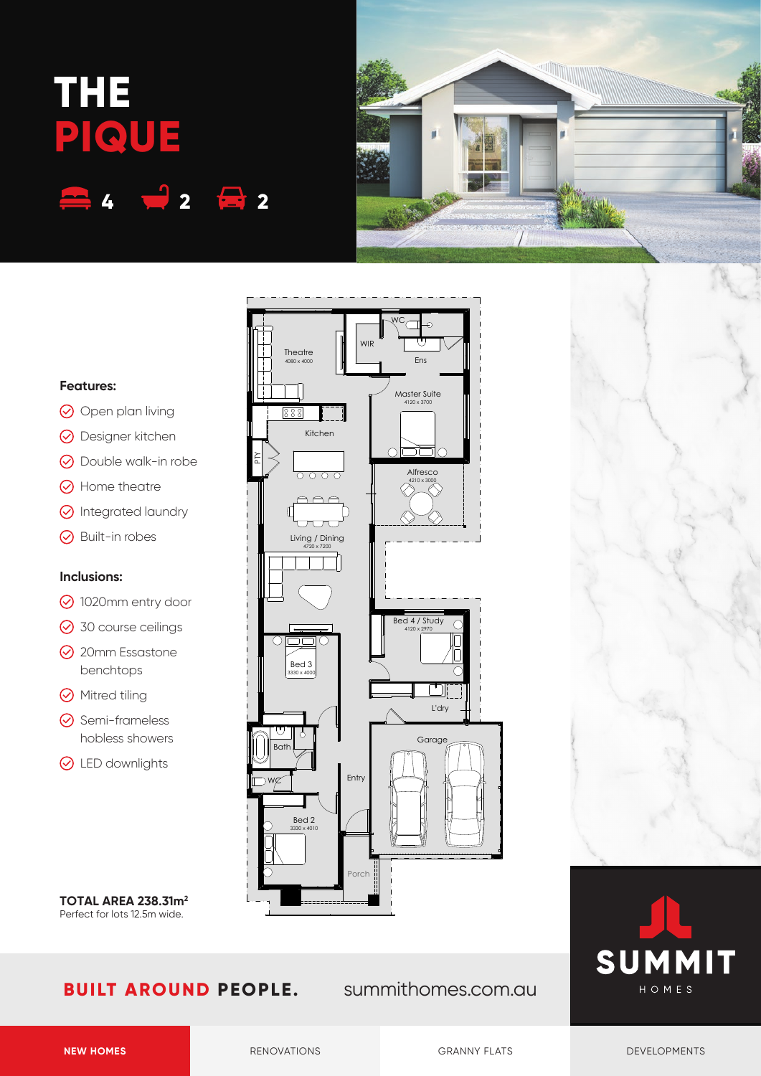# **THE PIQUE 4 2 2**



### **Features:**

- $\odot$  Open plan living
- **⊙** Designer kitchen
- **⊙** Double walk-in robe
- **A** Home theatre
- **O** Integrated laundry
- **⊙** Built-in robes

#### **Inclusions:**

- 1020mm entry door
- **⊙** 30 course ceilings
- **⊙** 20mm Essastone benchtops
- **⊙** Mitred tiling
- **⊙** Semi-frameless hobless showers
- **⊙** LED downlights

**TOTAL AREA 238.31m2** Perfect for lots 12.5m wide.

## **BUILT AROUND PEOPLE.** summithomes.com.au

L'dry

Garage

Bed 4 / Study 4120 x 2970

Master Suite  $120 \times 370$ 

> **Alfresco** 4210 x 3000

าไ∂

Ens

WC

 $\cap \Box$ 

WIR

Kitchen

 $\overline{O}$  $\overline{O}$  $\overline{O}$ 

**Theatre** 4080 x 4000

 $889$ 

PTY

Living / Dining<br>4720 x 7200





WC

Bath

Bed 3<br>3330 x 4000

Bed 2 3330 x 4010

Porch

Entry